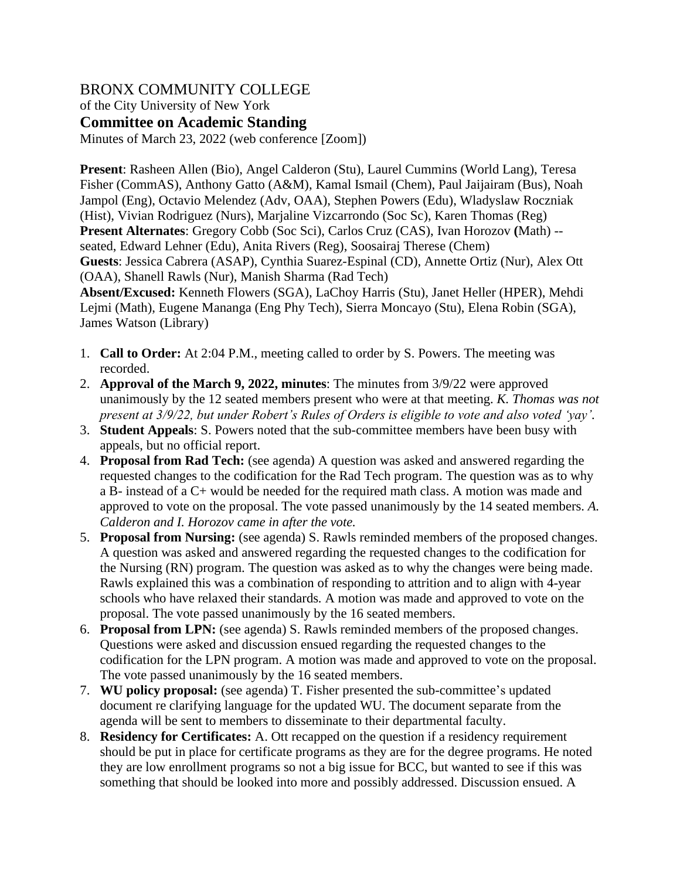# BRONX COMMUNITY COLLEGE

of the City University of New York

**Committee on Academic Standing**

Minutes of March 23, 2022 (web conference [Zoom])

**Present**: Rasheen Allen (Bio), Angel Calderon (Stu), Laurel Cummins (World Lang), Teresa Fisher (CommAS), Anthony Gatto (A&M), Kamal Ismail (Chem), Paul Jaijairam (Bus), Noah Jampol (Eng), Octavio Melendez (Adv, OAA), Stephen Powers (Edu), Wladyslaw Roczniak (Hist), Vivian Rodriguez (Nurs), Marjaline Vizcarrondo (Soc Sc), Karen Thomas (Reg) **Present Alternates**: Gregory Cobb (Soc Sci), Carlos Cruz (CAS), Ivan Horozov **(**Math) - seated, Edward Lehner (Edu), Anita Rivers (Reg), Soosairaj Therese (Chem) **Guests**: Jessica Cabrera (ASAP), Cynthia Suarez-Espinal (CD), Annette Ortiz (Nur), Alex Ott (OAA), Shanell Rawls (Nur), Manish Sharma (Rad Tech)

**Absent/Excused:** Kenneth Flowers (SGA), LaChoy Harris (Stu), Janet Heller (HPER), Mehdi Lejmi (Math), Eugene Mananga (Eng Phy Tech), Sierra Moncayo (Stu), Elena Robin (SGA), James Watson (Library)

- 1. **Call to Order:** At 2:04 P.M., meeting called to order by S. Powers. The meeting was recorded.
- 2. **Approval of the March 9, 2022, minutes**: The minutes from 3/9/22 were approved unanimously by the 12 seated members present who were at that meeting. *K. Thomas was not present at 3/9/22, but under Robert's Rules of Orders is eligible to vote and also voted 'yay'.*
- 3. **Student Appeals**: S. Powers noted that the sub-committee members have been busy with appeals, but no official report.
- 4. **Proposal from Rad Tech:** (see agenda) A question was asked and answered regarding the requested changes to the codification for the Rad Tech program. The question was as to why a B- instead of a C+ would be needed for the required math class. A motion was made and approved to vote on the proposal. The vote passed unanimously by the 14 seated members. *A. Calderon and I. Horozov came in after the vote.*
- 5. **Proposal from Nursing:** (see agenda) S. Rawls reminded members of the proposed changes. A question was asked and answered regarding the requested changes to the codification for the Nursing (RN) program. The question was asked as to why the changes were being made. Rawls explained this was a combination of responding to attrition and to align with 4-year schools who have relaxed their standards*.* A motion was made and approved to vote on the proposal. The vote passed unanimously by the 16 seated members.
- 6. **Proposal from LPN:** (see agenda) S. Rawls reminded members of the proposed changes. Questions were asked and discussion ensued regarding the requested changes to the codification for the LPN program. A motion was made and approved to vote on the proposal. The vote passed unanimously by the 16 seated members.
- 7. **WU policy proposal:** (see agenda) T. Fisher presented the sub-committee's updated document re clarifying language for the updated WU. The document separate from the agenda will be sent to members to disseminate to their departmental faculty.
- 8. **Residency for Certificates:** A. Ott recapped on the question if a residency requirement should be put in place for certificate programs as they are for the degree programs. He noted they are low enrollment programs so not a big issue for BCC, but wanted to see if this was something that should be looked into more and possibly addressed. Discussion ensued. A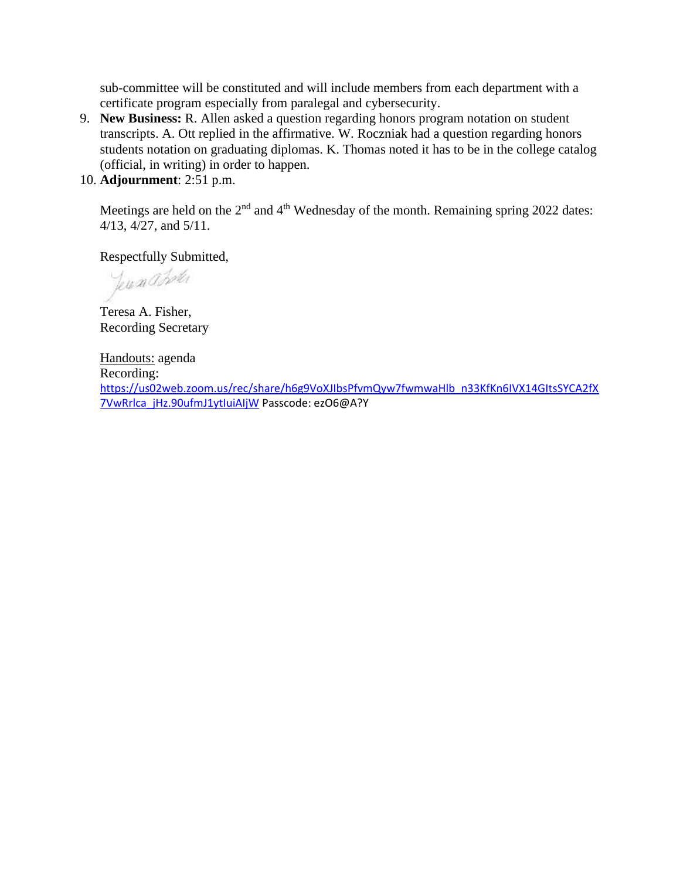sub-committee will be constituted and will include members from each department with a certificate program especially from paralegal and cybersecurity.

- 9. **New Business:** R. Allen asked a question regarding honors program notation on student transcripts. A. Ott replied in the affirmative. W. Roczniak had a question regarding honors students notation on graduating diplomas. K. Thomas noted it has to be in the college catalog (official, in writing) in order to happen.
- 10. **Adjournment**: 2:51 p.m.

Meetings are held on the  $2<sup>nd</sup>$  and  $4<sup>th</sup>$  Wednesday of the month. Remaining spring 2022 dates: 4/13, 4/27, and 5/11.

Respectfully Submitted,

Jeresa Boter

Teresa A. Fisher, Recording Secretary

Handouts: agenda Recording: [https://us02web.zoom.us/rec/share/h6g9VoXJIbsPfvmQyw7fwmwaHlb\\_n33KfKn6IVX14GItsSYCA2fX](https://urldefense.proofpoint.com/v2/url?u=https-3A__us02web.zoom.us_rec_share_h6g9VoXJIbsPfvmQyw7fwmwaHlb-5Fn33KfKn6IVX14GItsSYCA2fX7VwRrlca-5FjHz.90ufmJ1ytIuiAIjW&d=DwMFAw&c=mRWFL96tuqj9V0Jjj4h40ddo0XsmttALwKjAEOCyUjY&r=IZfWtvjkdY2axVNbaAl81QkbmgEDnG6klzXtuqabQcM&m=Xts96fPzcOGMMXoggH1LcEQIcOi3fLtVUc6QfvfrWOw&s=jDBEG3Mz7c43eBlfKB8V40FYVAkx554Lo5ppAHux15s&e=) [7VwRrlca\\_jHz.90ufmJ1ytIuiAIjW](https://urldefense.proofpoint.com/v2/url?u=https-3A__us02web.zoom.us_rec_share_h6g9VoXJIbsPfvmQyw7fwmwaHlb-5Fn33KfKn6IVX14GItsSYCA2fX7VwRrlca-5FjHz.90ufmJ1ytIuiAIjW&d=DwMFAw&c=mRWFL96tuqj9V0Jjj4h40ddo0XsmttALwKjAEOCyUjY&r=IZfWtvjkdY2axVNbaAl81QkbmgEDnG6klzXtuqabQcM&m=Xts96fPzcOGMMXoggH1LcEQIcOi3fLtVUc6QfvfrWOw&s=jDBEG3Mz7c43eBlfKB8V40FYVAkx554Lo5ppAHux15s&e=) Passcode: ezO6@A?Y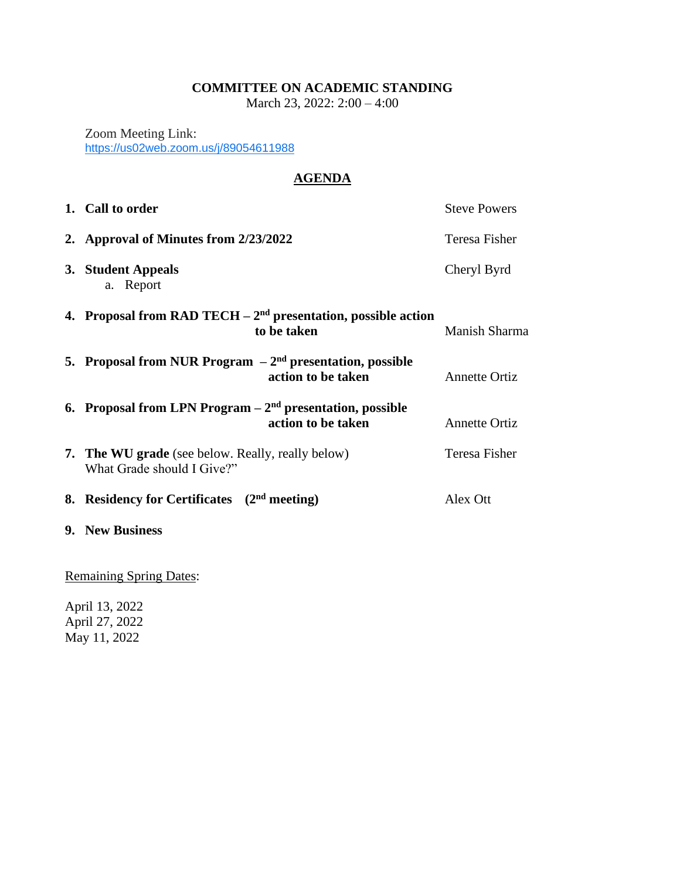## **COMMITTEE ON ACADEMIC STANDING**

March 23, 2022: 2:00 – 4:00

Zoom Meeting Link: <https://us02web.zoom.us/j/89054611988>

# **AGENDA**

| 1. Call to order                                                                       | <b>Steve Powers</b>  |
|----------------------------------------------------------------------------------------|----------------------|
| 2. Approval of Minutes from 2/23/2022                                                  | Teresa Fisher        |
| 3. Student Appeals<br>a. Report                                                        | Cheryl Byrd          |
| 4. Proposal from RAD TECH $-2nd$ presentation, possible action<br>to be taken          | Manish Sharma        |
| 5. Proposal from NUR Program $-2nd$ presentation, possible<br>action to be taken       | <b>Annette Ortiz</b> |
| 6. Proposal from LPN Program $-2nd$ presentation, possible<br>action to be taken       | <b>Annette Ortiz</b> |
| <b>7. The WU grade</b> (see below. Really, really below)<br>What Grade should I Give?" | Teresa Fisher        |
| 8. Residency for Certificates $(2nd meeting)$                                          | Alex Ott             |
| 9. New Business                                                                        |                      |

Remaining Spring Dates:

April 13, 2022 April 27, 2022 May 11, 2022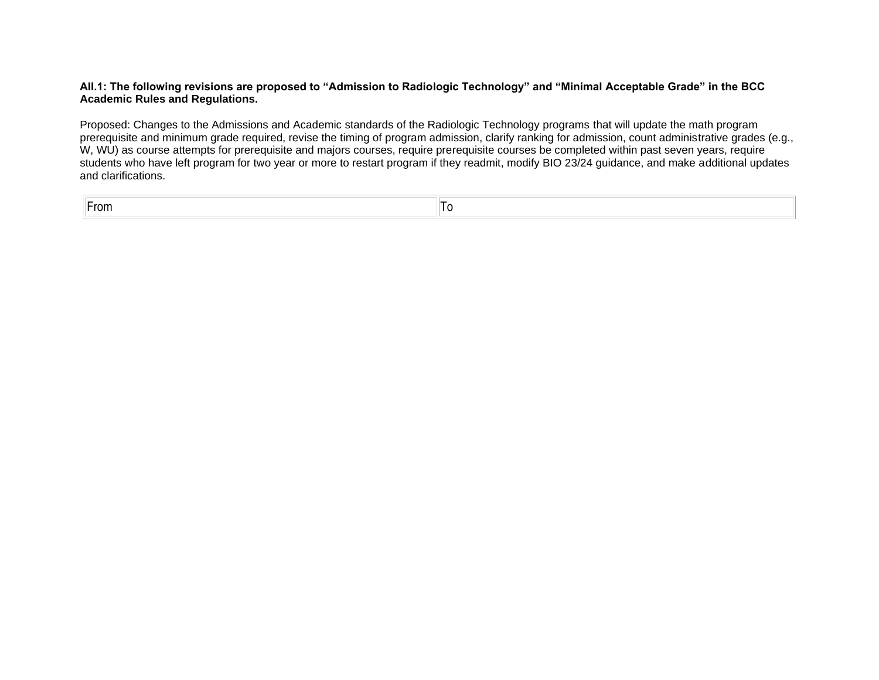#### **AII.1: The following revisions are proposed to "Admission to Radiologic Technology" and "Minimal Acceptable Grade" in the BCC Academic Rules and Regulations.**

Proposed: Changes to the Admissions and Academic standards of the Radiologic Technology programs that will update the math program prerequisite and minimum grade required, revise the timing of program admission, clarify ranking for admission, count administrative grades (e.g., W, WU) as course attempts for prerequisite and majors courses, require prerequisite courses be completed within past seven years, require students who have left program for two year or more to restart program if they readmit, modify BIO 23/24 guidance, and make additional updates and clarifications.

From To and the state of the state of the state of the state of the state of the state of the state of the state of the state of the state of the state of the state of the state of the state of the state of the state of th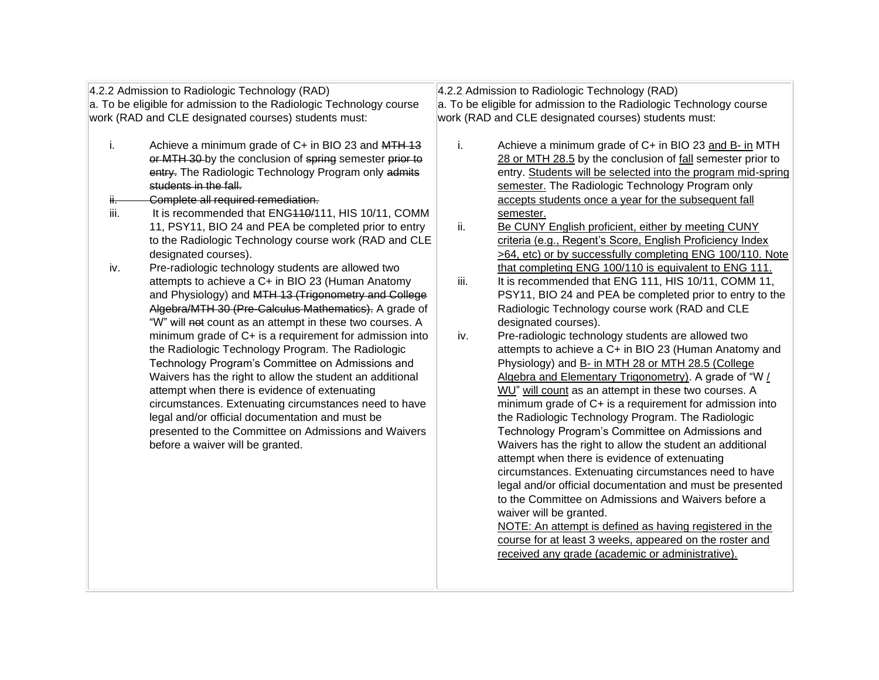| 4.2.2 Admission to Radiologic Technology (RAD)                      |                                                          |      | 4.2.2 Admission to Radiologic Technology (RAD)                      |
|---------------------------------------------------------------------|----------------------------------------------------------|------|---------------------------------------------------------------------|
| a. To be eligible for admission to the Radiologic Technology course |                                                          |      | a. To be eligible for admission to the Radiologic Technology course |
|                                                                     | work (RAD and CLE designated courses) students must:     |      | work (RAD and CLE designated courses) students must:                |
|                                                                     |                                                          |      |                                                                     |
| i.                                                                  | Achieve a minimum grade of C+ in BIO 23 and MTH 13       | i.   | Achieve a minimum grade of C+ in BIO 23 and B- in MTH               |
|                                                                     | or MTH 30-by the conclusion of spring semester prior to  |      | 28 or MTH 28.5 by the conclusion of fall semester prior to          |
|                                                                     | entry. The Radiologic Technology Program only admits     |      | entry. Students will be selected into the program mid-spring        |
|                                                                     | students in the fall.                                    |      | semester. The Radiologic Technology Program only                    |
| ij.                                                                 | Complete all required remediation.                       |      | accepts students once a year for the subsequent fall                |
| iii.                                                                | It is recommended that ENG440/111, HIS 10/11, COMM       |      | semester.                                                           |
|                                                                     | 11, PSY11, BIO 24 and PEA be completed prior to entry    | ii.  | Be CUNY English proficient, either by meeting CUNY                  |
|                                                                     | to the Radiologic Technology course work (RAD and CLE    |      | criteria (e.g., Regent's Score, English Proficiency Index           |
|                                                                     | designated courses).                                     |      | >64, etc) or by successfully completing ENG 100/110. Note           |
| iv.                                                                 | Pre-radiologic technology students are allowed two       |      | that completing ENG 100/110 is equivalent to ENG 111.               |
|                                                                     | attempts to achieve a C+ in BIO 23 (Human Anatomy        | iii. | It is recommended that ENG 111, HIS 10/11, COMM 11,                 |
|                                                                     | and Physiology) and MTH 13 (Trigonometry and College     |      | PSY11, BIO 24 and PEA be completed prior to entry to the            |
|                                                                     | Algebra/MTH 30 (Pre-Calculus Mathematics). A grade of    |      | Radiologic Technology course work (RAD and CLE                      |
|                                                                     | "W" will not count as an attempt in these two courses. A |      | designated courses).                                                |
|                                                                     | minimum grade of C+ is a requirement for admission into  | iv.  | Pre-radiologic technology students are allowed two                  |
|                                                                     | the Radiologic Technology Program. The Radiologic        |      | attempts to achieve a C+ in BIO 23 (Human Anatomy and               |
|                                                                     | Technology Program's Committee on Admissions and         |      | Physiology) and B- in MTH 28 or MTH 28.5 (College                   |
|                                                                     | Waivers has the right to allow the student an additional |      | Algebra and Elementary Trigonometry). A grade of "W /               |
|                                                                     | attempt when there is evidence of extenuating            |      | WU" will count as an attempt in these two courses. A                |
|                                                                     | circumstances. Extenuating circumstances need to have    |      | minimum grade of C+ is a requirement for admission into             |
|                                                                     | legal and/or official documentation and must be          |      | the Radiologic Technology Program. The Radiologic                   |
|                                                                     | presented to the Committee on Admissions and Waivers     |      | Technology Program's Committee on Admissions and                    |
|                                                                     | before a waiver will be granted.                         |      | Waivers has the right to allow the student an additional            |
|                                                                     |                                                          |      | attempt when there is evidence of extenuating                       |
|                                                                     |                                                          |      | circumstances. Extenuating circumstances need to have               |
|                                                                     |                                                          |      | legal and/or official documentation and must be presented           |
|                                                                     |                                                          |      | to the Committee on Admissions and Waivers before a                 |
|                                                                     |                                                          |      | waiver will be granted.                                             |
|                                                                     |                                                          |      | NOTE: An attempt is defined as having registered in the             |
|                                                                     |                                                          |      | course for at least 3 weeks, appeared on the roster and             |
|                                                                     |                                                          |      | received any grade (academic or administrative).                    |
|                                                                     |                                                          |      |                                                                     |
|                                                                     |                                                          |      |                                                                     |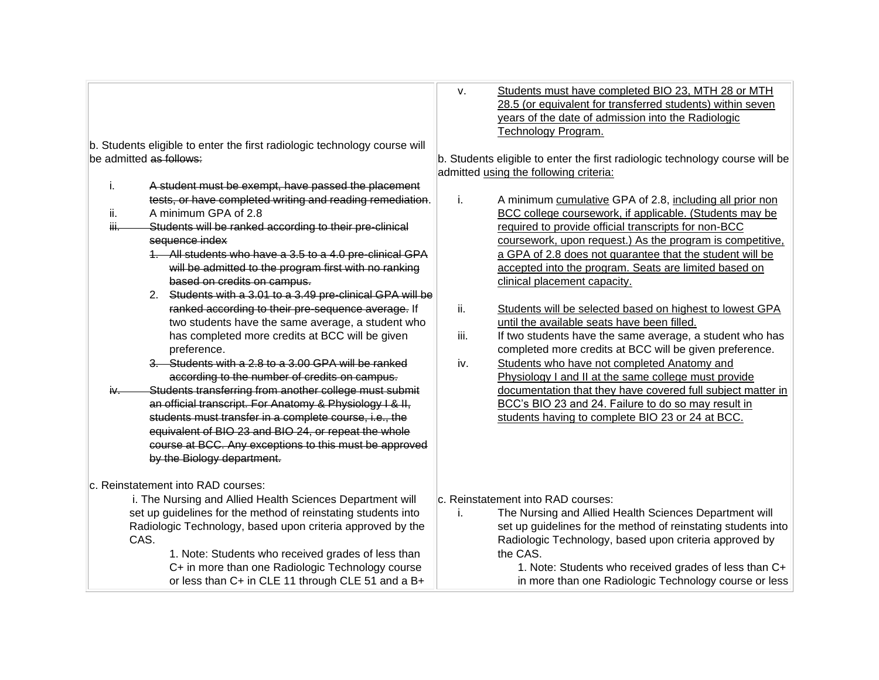|      |                                                                           | V.   | Students must have completed BIO 23, MTH 28 or MTH                           |
|------|---------------------------------------------------------------------------|------|------------------------------------------------------------------------------|
|      |                                                                           |      | 28.5 (or equivalent for transferred students) within seven                   |
|      |                                                                           |      | years of the date of admission into the Radiologic                           |
|      |                                                                           |      | Technology Program.                                                          |
|      | b. Students eligible to enter the first radiologic technology course will |      |                                                                              |
|      | be admitted as follows:                                                   |      | b. Students eligible to enter the first radiologic technology course will be |
|      |                                                                           |      | admitted using the following criteria:                                       |
| i.   | A student must be exempt, have passed the placement                       |      |                                                                              |
|      | tests, or have completed writing and reading remediation.                 | i.   | A minimum cumulative GPA of 2.8, including all prior non                     |
| ii.  | A minimum GPA of 2.8                                                      |      | BCC college coursework, if applicable. (Students may be                      |
| Ш.   | Students will be ranked according to their pre-clinical                   |      | required to provide official transcripts for non-BCC                         |
|      | sequence index                                                            |      | coursework, upon request.) As the program is competitive,                    |
|      | 1. All students who have a 3.5 to a 4.0 pre-clinical GPA                  |      | a GPA of 2.8 does not guarantee that the student will be                     |
|      | will be admitted to the program first with no ranking                     |      | accepted into the program. Seats are limited based on                        |
|      | based on credits on campus.                                               |      | clinical placement capacity.                                                 |
|      | 2. Students with a 3.01 to a 3.49 pre-clinical GPA will be                |      |                                                                              |
|      | ranked according to their pre-sequence average. If                        | ii.  | Students will be selected based on highest to lowest GPA                     |
|      | two students have the same average, a student who                         |      | until the available seats have been filled.                                  |
|      | has completed more credits at BCC will be given                           | iii. | If two students have the same average, a student who has                     |
|      | preference.                                                               |      | completed more credits at BCC will be given preference.                      |
|      | 3. Students with a 2.8 to a 3.00 GPA will be ranked                       | iv.  | Students who have not completed Anatomy and                                  |
|      | according to the number of credits on campus.                             |      | Physiology I and II at the same college must provide                         |
| iv—  | Students transferring from another college must submit                    |      | documentation that they have covered full subject matter in                  |
|      | an official transcript. For Anatomy & Physiology I & II,                  |      | BCC's BIO 23 and 24. Failure to do so may result in                          |
|      | students must transfer in a complete course, i.e., the                    |      | students having to complete BIO 23 or 24 at BCC.                             |
|      | equivalent of BIO 23 and BIO 24, or repeat the whole                      |      |                                                                              |
|      | course at BCC. Any exceptions to this must be approved                    |      |                                                                              |
|      | by the Biology department.                                                |      |                                                                              |
|      |                                                                           |      |                                                                              |
|      | c. Reinstatement into RAD courses:                                        |      |                                                                              |
|      | i. The Nursing and Allied Health Sciences Department will                 |      | c. Reinstatement into RAD courses:                                           |
|      | set up guidelines for the method of reinstating students into             | i.   | The Nursing and Allied Health Sciences Department will                       |
|      | Radiologic Technology, based upon criteria approved by the                |      | set up guidelines for the method of reinstating students into                |
| CAS. |                                                                           |      | Radiologic Technology, based upon criteria approved by                       |
|      | 1. Note: Students who received grades of less than                        |      | the CAS.                                                                     |
|      | C+ in more than one Radiologic Technology course                          |      | 1. Note: Students who received grades of less than C+                        |
|      | or less than C+ in CLE 11 through CLE 51 and a B+                         |      | in more than one Radiologic Technology course or less                        |
|      |                                                                           |      |                                                                              |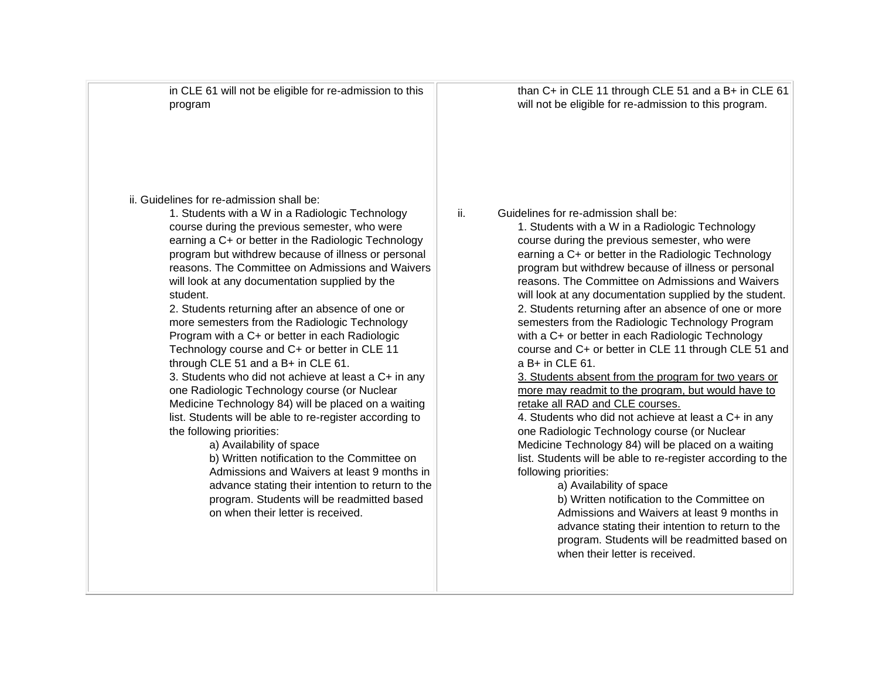in CLE 61 will not be eligible for re-admission to this program

than C+ in CLE 11 through CLE 51 and a B+ in CLE 61 will not be eligible for re-admission to this program.

ii. Guidelines for re-admission shall be:

1. Students with a W in a Radiologic Technology course during the previous semester, who were earning a C+ or better in the Radiologic Technology program but withdrew because of illness or personal reasons. The Committee on Admissions and Waivers will look at any documentation supplied by the student.

2. Students returning after an absence of one or more semesters from the Radiologic Technology Program with a C+ or better in each Radiologic Technology course and C+ or better in CLE 11 through CLE 51 and a B+ in CLE 61.

3. Students who did not achieve at least a C+ in any one Radiologic Technology course (or Nuclear Medicine Technology 84) will be placed on a waiting list. Students will be able to re-register according to the following priorities:

a) Availability of space

b) Written notification to the Committee on Admissions and Waivers at least 9 months in advance stating their intention to return to the program. Students will be readmitted based on when their letter is received.

ii. Guidelines for re-admission shall be:

1. Students with a W in a Radiologic Technology course during the previous semester, who were earning a C+ or better in the Radiologic Technology program but withdrew because of illness or personal reasons. The Committee on Admissions and Waivers will look at any documentation supplied by the student. 2. Students returning after an absence of one or more semesters from the Radiologic Technology Program with a C+ or better in each Radiologic Technology course and C+ or better in CLE 11 through CLE 51 and a B+ in CLE 61.

3. Students absent from the program for two years or more may readmit to the program, but would have to retake all RAD and CLE courses.

4. Students who did not achieve at least a C+ in any one Radiologic Technology course (or Nuclear Medicine Technology 84) will be placed on a waiting list. Students will be able to re-register according to the following priorities:

a) Availability of space

b) Written notification to the Committee on Admissions and Waivers at least 9 months in advance stating their intention to return to the program. Students will be readmitted based on when their letter is received.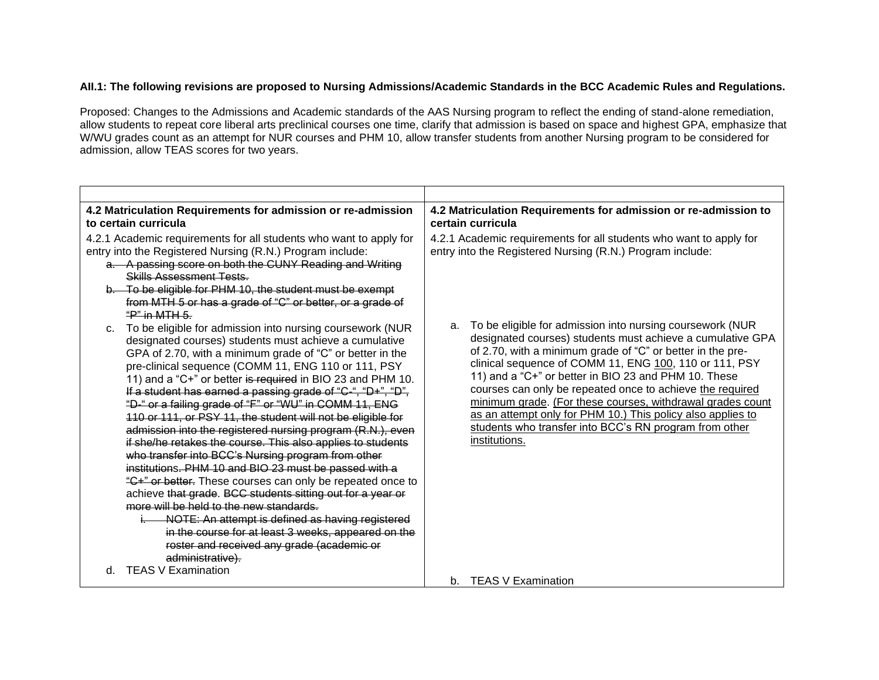### **AII.1: The following revisions are proposed to Nursing Admissions/Academic Standards in the BCC Academic Rules and Regulations.**

Proposed: Changes to the Admissions and Academic standards of the AAS Nursing program to reflect the ending of stand-alone remediation, allow students to repeat core liberal arts preclinical courses one time, clarify that admission is based on space and highest GPA, emphasize that W/WU grades count as an attempt for NUR courses and PHM 10, allow transfer students from another Nursing program to be considered for admission, allow TEAS scores for two years.

| 4.2 Matriculation Requirements for admission or re-admission<br>to certain curricula                                                                                                                                                                                                                                                                                                                                                                                                                                                                                                                                                                                                                                                                                                                                                                                                                                                                                                                                                                                                             | 4.2 Matriculation Requirements for admission or re-admission to<br>certain curricula                                                                                                                                                                                                                                                                                                                                                                                                                            |
|--------------------------------------------------------------------------------------------------------------------------------------------------------------------------------------------------------------------------------------------------------------------------------------------------------------------------------------------------------------------------------------------------------------------------------------------------------------------------------------------------------------------------------------------------------------------------------------------------------------------------------------------------------------------------------------------------------------------------------------------------------------------------------------------------------------------------------------------------------------------------------------------------------------------------------------------------------------------------------------------------------------------------------------------------------------------------------------------------|-----------------------------------------------------------------------------------------------------------------------------------------------------------------------------------------------------------------------------------------------------------------------------------------------------------------------------------------------------------------------------------------------------------------------------------------------------------------------------------------------------------------|
| 4.2.1 Academic requirements for all students who want to apply for<br>entry into the Registered Nursing (R.N.) Program include:<br>a. A passing score on both the CUNY Reading and Writing<br>Skills Assessment Tests<br>b. To be eligible for PHM 10, the student must be exempt<br>from MTH 5 or has a grade of "C" or better, or a grade of<br>$"P"$ in MTH 5.                                                                                                                                                                                                                                                                                                                                                                                                                                                                                                                                                                                                                                                                                                                                | 4.2.1 Academic requirements for all students who want to apply for<br>entry into the Registered Nursing (R.N.) Program include:<br>To be eligible for admission into nursing coursework (NUR<br>a.                                                                                                                                                                                                                                                                                                              |
| c. To be eligible for admission into nursing coursework (NUR<br>designated courses) students must achieve a cumulative<br>GPA of 2.70, with a minimum grade of "C" or better in the<br>pre-clinical sequence (COMM 11, ENG 110 or 111, PSY<br>11) and a "C+" or better is required in BIO 23 and PHM 10.<br>If a student has earned a passing grade of "C-", "D+", "D",<br>"D-" or a failing grade of "F" or "WU" in COMM 11, ENG<br>110 or 111, or PSY 11, the student will not be eligible for<br>admission into the registered nursing program (R.N.), even<br>if she/he retakes the course. This also applies to students<br>who transfer into BCC's Nursing program from other<br>institutions. PHM 10 and BIO 23 must be passed with a<br>"C+" or better. These courses can only be repeated once to<br>achieve that grade. BCC students sitting out for a year or<br>more will be held to the new standards.<br>NOTE: An attempt is defined as having registered<br>in the course for at least 3 weeks, appeared on the<br>roster and received any grade (academic or<br>administrative). | designated courses) students must achieve a cumulative GPA<br>of 2.70, with a minimum grade of "C" or better in the pre-<br>clinical sequence of COMM 11, ENG 100, 110 or 111, PSY<br>11) and a "C+" or better in BIO 23 and PHM 10. These<br>courses can only be repeated once to achieve the required<br>minimum grade. (For these courses, withdrawal grades count<br>as an attempt only for PHM 10.) This policy also applies to<br>students who transfer into BCC's RN program from other<br>institutions. |
| <b>TEAS V Examination</b><br>d.                                                                                                                                                                                                                                                                                                                                                                                                                                                                                                                                                                                                                                                                                                                                                                                                                                                                                                                                                                                                                                                                  | b. TEAS V Examination                                                                                                                                                                                                                                                                                                                                                                                                                                                                                           |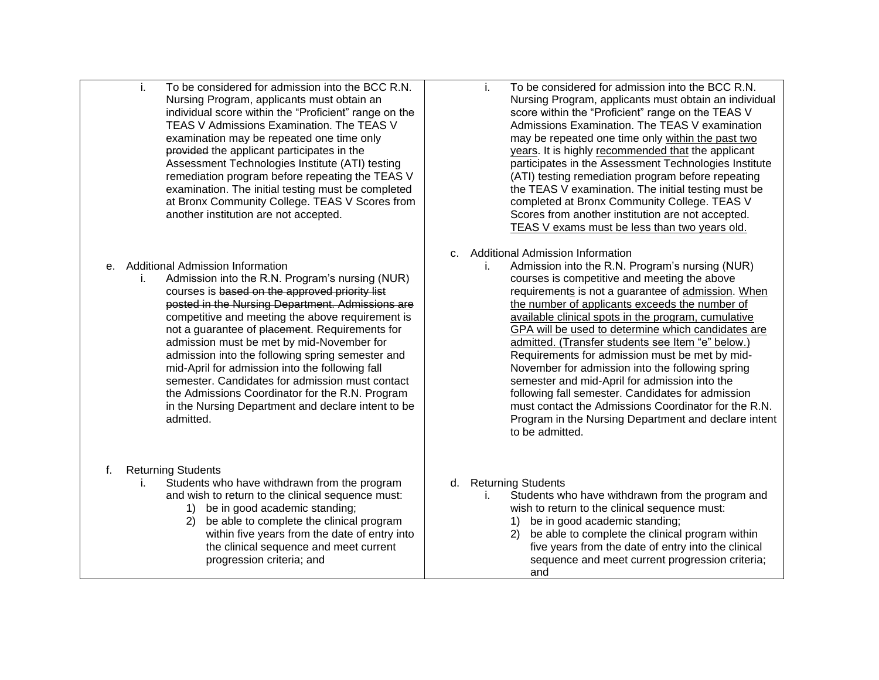- i. To be considered for admission into the BCC R.N. Nursing Program, applicants must obtain an individual score within the "Proficient" range on the TEAS V Admissions Examination. The TEAS V examination may be repeated one time only provided the applicant participates in the Assessment Technologies Institute (ATI) testing remediation program before repeating the TEAS V examination. The initial testing must be completed at Bronx Community College. TEAS V Scores from another institution are not accepted.
- e. Additional Admission Information
	- i. Admission into the R.N. Program's nursing (NUR) courses is based on the approved priority list posted in the Nursing Department. Admissions are competitive and meeting the above requirement is not a guarantee of placement. Requirements for admission must be met by mid-November for admission into the following spring semester and mid-April for admission into the following fall semester. Candidates for admission must contact the Admissions Coordinator for the R.N. Program in the Nursing Department and declare intent to be admitted.
- f. Returning Students
	- i. Students who have withdrawn from the program and wish to return to the clinical sequence must:
		- 1) be in good academic standing;
		- 2) be able to complete the clinical program within five years from the date of entry into the clinical sequence and meet current progression criteria; and
- i. To be considered for admission into the BCC R.N. Nursing Program, applicants must obtain an individual score within the "Proficient" range on the TEAS V Admissions Examination. The TEAS V examination may be repeated one time only within the past two years. It is highly recommended that the applicant participates in the Assessment Technologies Institute (ATI) testing remediation program before repeating the TEAS V examination. The initial testing must be completed at Bronx Community College. TEAS V Scores from another institution are not accepted. TEAS V exams must be less than two years old.
- c. Additional Admission Information
	- i. Admission into the R.N. Program's nursing (NUR) courses is competitive and meeting the above requirements is not a guarantee of admission. When the number of applicants exceeds the number of available clinical spots in the program, cumulative GPA will be used to determine which candidates are admitted. (Transfer students see Item "e" below.) Requirements for admission must be met by mid-November for admission into the following spring semester and mid-April for admission into the following fall semester. Candidates for admission must contact the Admissions Coordinator for the R.N. Program in the Nursing Department and declare intent to be admitted.
- d. Returning Students
	- i. Students who have withdrawn from the program and wish to return to the clinical sequence must:
		- 1) be in good academic standing;
		- 2) be able to complete the clinical program within five years from the date of entry into the clinical sequence and meet current progression criteria; and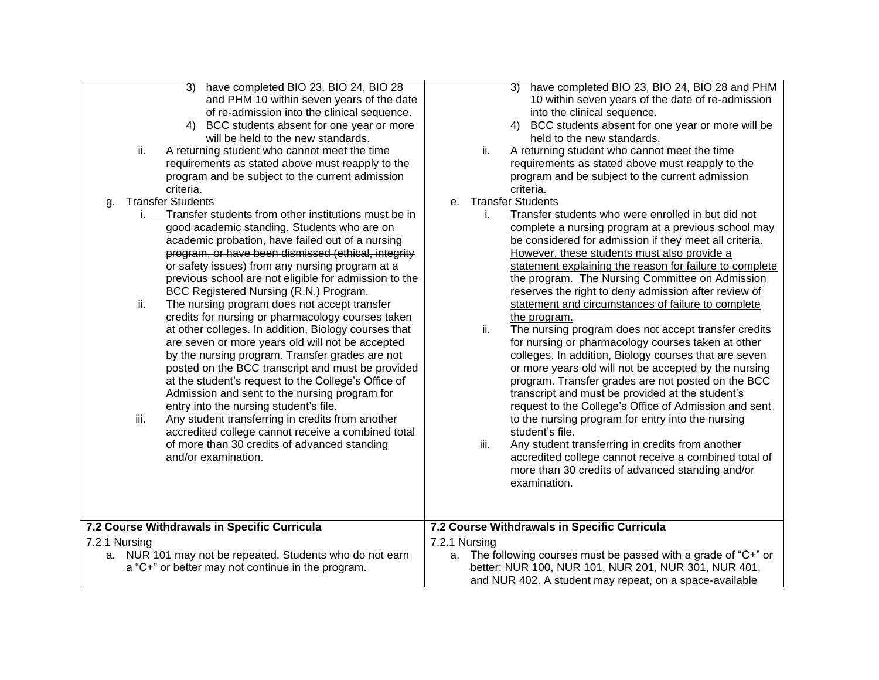- 3) have completed BIO 23, BIO 24, BIO 28 and PHM 10 within seven years of the date of re-admission into the clinical sequence.
- 4) BCC students absent for one year or more will be held to the new standards.
- ii. A returning student who cannot meet the time requirements as stated above must reapply to the program and be subject to the current admission criteria.
- g. Transfer Students
	- **Transfer students from other institutions must be in** good academic standing. Students who are on academic probation, have failed out of a nursing program, or have been dismissed (ethical, integrity or safety issues) from any nursing program at a previous school are not eligible for admission to the BCC Registered Nursing (R.N.) Program.
	- ii. The nursing program does not accept transfer credits for nursing or pharmacology courses taken at other colleges. In addition, Biology courses that are seven or more years old will not be accepted by the nursing program. Transfer grades are not posted on the BCC transcript and must be provided at the student's request to the College's Office of Admission and sent to the nursing program for entry into the nursing student's file.
	- iii. Any student transferring in credits from another accredited college cannot receive a combined total of more than 30 credits of advanced standing and/or examination.
- 3) have completed BIO 23, BIO 24, BIO 28 and PHM 10 within seven years of the date of re-admission into the clinical sequence.
- 4) BCC students absent for one year or more will be held to the new standards.
- ii. A returning student who cannot meet the time requirements as stated above must reapply to the program and be subject to the current admission criteria.
- e. Transfer Students
	- i. Transfer students who were enrolled in but did not complete a nursing program at a previous school may be considered for admission if they meet all criteria. However, these students must also provide a statement explaining the reason for failure to complete the program. The Nursing Committee on Admission reserves the right to deny admission after review of statement and circumstances of failure to complete the program.
	- ii. The nursing program does not accept transfer credits for nursing or pharmacology courses taken at other colleges. In addition, Biology courses that are seven or more years old will not be accepted by the nursing program. Transfer grades are not posted on the BCC transcript and must be provided at the student's request to the College's Office of Admission and sent to the nursing program for entry into the nursing student's file.
	- iii. Any student transferring in credits from another accredited college cannot receive a combined total of more than 30 credits of advanced standing and/or examination.

| 7.2 Course Withdrawals in Specific Curricula                                                                                               | 7.2 Course Withdrawals in Specific Curricula                                                                                                                                                             |  |
|--------------------------------------------------------------------------------------------------------------------------------------------|----------------------------------------------------------------------------------------------------------------------------------------------------------------------------------------------------------|--|
| 7.2 <del>.1 Nursing</del><br>a. NUR 101 may not be repeated. Students who do not earn<br>a "C+" or better may not continue in the program. | 7.2.1 Nursing<br>a. The following courses must be passed with a grade of " $C^+$ " or<br>better: NUR 100, NUR 101, NUR 201, NUR 301, NUR 401,<br>and NUR 402. A student may repeat, on a space-available |  |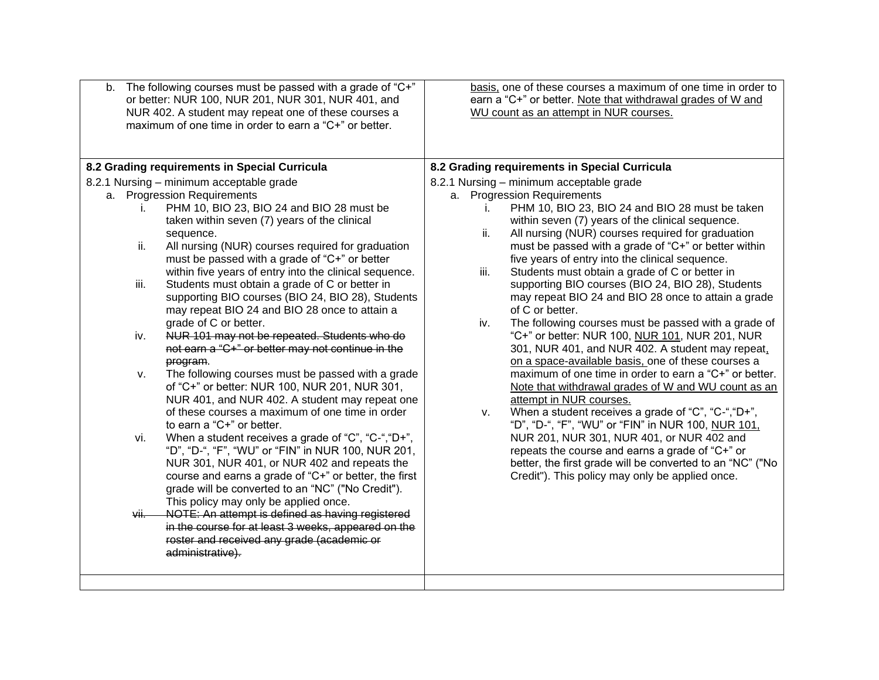| b. The following courses must be passed with a grade of "C+"<br>or better: NUR 100, NUR 201, NUR 301, NUR 401, and<br>NUR 402. A student may repeat one of these courses a<br>maximum of one time in order to earn a "C+" or better.                      | basis, one of these courses a maximum of one time in order to<br>earn a "C+" or better. Note that withdrawal grades of W and<br>WU count as an attempt in NUR courses.                                                  |
|-----------------------------------------------------------------------------------------------------------------------------------------------------------------------------------------------------------------------------------------------------------|-------------------------------------------------------------------------------------------------------------------------------------------------------------------------------------------------------------------------|
| 8.2 Grading requirements in Special Curricula                                                                                                                                                                                                             | 8.2 Grading requirements in Special Curricula                                                                                                                                                                           |
| 8.2.1 Nursing - minimum acceptable grade                                                                                                                                                                                                                  | 8.2.1 Nursing - minimum acceptable grade                                                                                                                                                                                |
| a. Progression Requirements                                                                                                                                                                                                                               | a. Progression Requirements                                                                                                                                                                                             |
| PHM 10, BIO 23, BIO 24 and BIO 28 must be<br>$\mathbf{L}$<br>taken within seven (7) years of the clinical<br>sequence.                                                                                                                                    | PHM 10, BIO 23, BIO 24 and BIO 28 must be taken<br>within seven (7) years of the clinical sequence.<br>ii.<br>All nursing (NUR) courses required for graduation                                                         |
| All nursing (NUR) courses required for graduation<br>ii.<br>must be passed with a grade of "C+" or better<br>within five years of entry into the clinical sequence.                                                                                       | must be passed with a grade of "C+" or better within<br>five years of entry into the clinical sequence.<br>Students must obtain a grade of C or better in<br>iii.                                                       |
| Students must obtain a grade of C or better in<br>iii.<br>supporting BIO courses (BIO 24, BIO 28), Students<br>may repeat BIO 24 and BIO 28 once to attain a                                                                                              | supporting BIO courses (BIO 24, BIO 28), Students<br>may repeat BIO 24 and BIO 28 once to attain a grade<br>of C or better.                                                                                             |
| grade of C or better.<br>NUR 101 may not be repeated. Students who do<br>iv.<br>not earn a "C+" or better may not continue in the<br>program.                                                                                                             | The following courses must be passed with a grade of<br>iv.<br>"C+" or better: NUR 100, NUR 101, NUR 201, NUR<br>301, NUR 401, and NUR 402. A student may repeat,<br>on a space-available basis, one of these courses a |
| The following courses must be passed with a grade<br>v.<br>of "C+" or better: NUR 100, NUR 201, NUR 301,<br>NUR 401, and NUR 402. A student may repeat one                                                                                                | maximum of one time in order to earn a "C+" or better.<br>Note that withdrawal grades of W and WU count as an<br>attempt in NUR courses.                                                                                |
| of these courses a maximum of one time in order<br>to earn a "C+" or better.<br>When a student receives a grade of "C", "C-", "D+",<br>vi.                                                                                                                | When a student receives a grade of "C", "C-", "D+",<br>V.<br>"D", "D-", "F", "WU" or "FIN" in NUR 100, NUR 101,<br>NUR 201, NUR 301, NUR 401, or NUR 402 and                                                            |
| "D", "D-", "F", "WU" or "FIN" in NUR 100, NUR 201,<br>NUR 301, NUR 401, or NUR 402 and repeats the<br>course and earns a grade of "C+" or better, the first<br>grade will be converted to an "NC" ("No Credit").<br>This policy may only be applied once. | repeats the course and earns a grade of "C+" or<br>better, the first grade will be converted to an "NC" ("No<br>Credit"). This policy may only be applied once.                                                         |
| NOTE: An attempt is defined as having registered<br>vii.<br>in the course for at least 3 weeks, appeared on the<br>roster and received any grade (academic or<br>administrative).                                                                         |                                                                                                                                                                                                                         |
|                                                                                                                                                                                                                                                           |                                                                                                                                                                                                                         |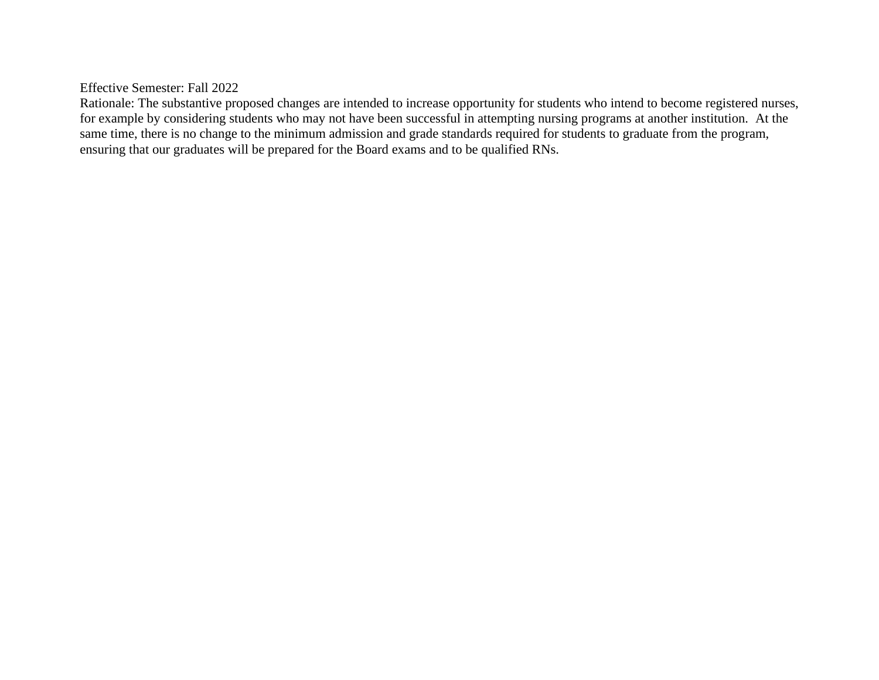Effective Semester: Fall 2022

Rationale: The substantive proposed changes are intended to increase opportunity for students who intend to become registered nurses, for example by considering students who may not have been successful in attempting nursing programs at another institution. At the same time, there is no change to the minimum admission and grade standards required for students to graduate from the program, ensuring that our graduates will be prepared for the Board exams and to be qualified RNs.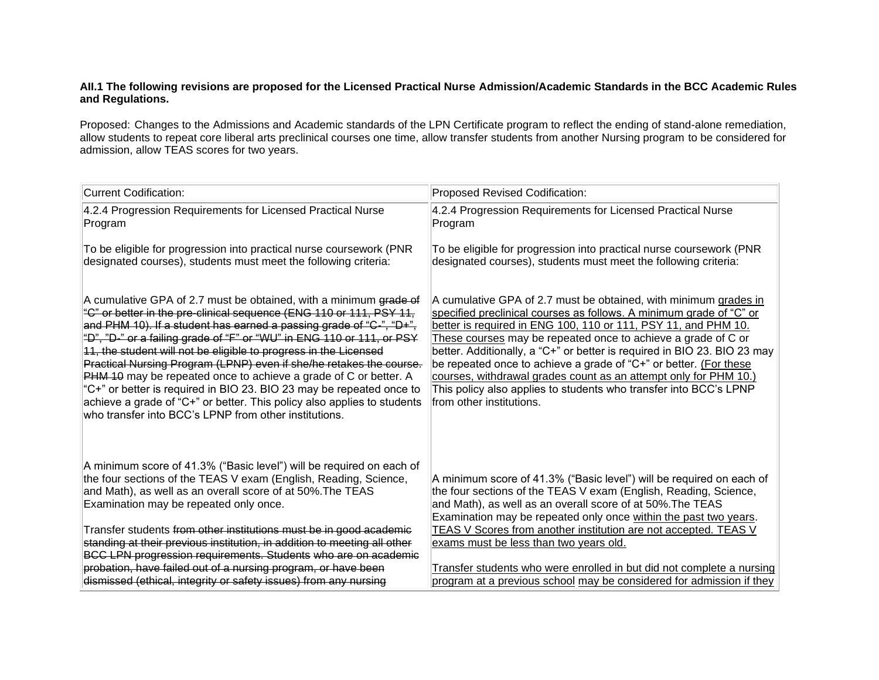### **AII.1 The following revisions are proposed for the Licensed Practical Nurse Admission/Academic Standards in the BCC Academic Rules and Regulations.**

Proposed: Changes to the Admissions and Academic standards of the LPN Certificate program to reflect the ending of stand-alone remediation, allow students to repeat core liberal arts preclinical courses one time, allow transfer students from another Nursing program to be considered for admission, allow TEAS scores for two years.

| <b>Current Codification:</b>                                                                                                                                                                                                                                                                                                                                                                                                                                                                                                                                                                                                                                                                                        | Proposed Revised Codification:                                                                                                                                                                                                                                                                                                                                                                                                                                                                                                                                                                   |
|---------------------------------------------------------------------------------------------------------------------------------------------------------------------------------------------------------------------------------------------------------------------------------------------------------------------------------------------------------------------------------------------------------------------------------------------------------------------------------------------------------------------------------------------------------------------------------------------------------------------------------------------------------------------------------------------------------------------|--------------------------------------------------------------------------------------------------------------------------------------------------------------------------------------------------------------------------------------------------------------------------------------------------------------------------------------------------------------------------------------------------------------------------------------------------------------------------------------------------------------------------------------------------------------------------------------------------|
| 4.2.4 Progression Requirements for Licensed Practical Nurse<br>Program                                                                                                                                                                                                                                                                                                                                                                                                                                                                                                                                                                                                                                              | 4.2.4 Progression Requirements for Licensed Practical Nurse<br>Program                                                                                                                                                                                                                                                                                                                                                                                                                                                                                                                           |
| To be eligible for progression into practical nurse coursework (PNR<br>designated courses), students must meet the following criteria:                                                                                                                                                                                                                                                                                                                                                                                                                                                                                                                                                                              | To be eligible for progression into practical nurse coursework (PNR<br>designated courses), students must meet the following criteria:                                                                                                                                                                                                                                                                                                                                                                                                                                                           |
| A cumulative GPA of 2.7 must be obtained, with a minimum grade of<br>"C" or better in the pre-clinical sequence (ENG 110 or 111, PSY 11,<br>and PHM 10). If a student has earned a passing grade of "C-", "D+",<br>"D", "D-" or a failing grade of "F" or "WU" in ENG 110 or 111, or PSY<br>11, the student will not be eligible to progress in the Licensed<br>Practical Nursing Program (LPNP) even if she/he retakes the course.<br>PHM 10 may be repeated once to achieve a grade of C or better. A<br>"C+" or better is required in BIO 23. BIO 23 may be repeated once to<br>achieve a grade of "C+" or better. This policy also applies to students<br>who transfer into BCC's LPNP from other institutions. | A cumulative GPA of 2.7 must be obtained, with minimum grades in<br>specified preclinical courses as follows. A minimum grade of "C" or<br>better is required in ENG 100, 110 or 111, PSY 11, and PHM 10.<br>These courses may be repeated once to achieve a grade of C or<br>better. Additionally, a "C+" or better is required in BIO 23. BIO 23 may<br>be repeated once to achieve a grade of "C+" or better. (For these<br>courses, withdrawal grades count as an attempt only for PHM 10.)<br>This policy also applies to students who transfer into BCC's LPNP<br>from other institutions. |
| A minimum score of 41.3% ("Basic level") will be required on each of<br>the four sections of the TEAS V exam (English, Reading, Science,<br>and Math), as well as an overall score of at 50%. The TEAS<br>Examination may be repeated only once.<br>Transfer students from other institutions must be in good academic<br>standing at their previous institution, in addition to meeting all other<br>BCC LPN progression requirements. Students who are on academic<br>probation, have failed out of a nursing program, or have been<br>dismissed (ethical, integrity or safety issues) from any nursing                                                                                                           | A minimum score of 41.3% ("Basic level") will be required on each of<br>the four sections of the TEAS V exam (English, Reading, Science,<br>and Math), as well as an overall score of at 50%. The TEAS<br>Examination may be repeated only once within the past two years.<br>TEAS V Scores from another institution are not accepted. TEAS V<br>exams must be less than two years old.<br>Transfer students who were enrolled in but did not complete a nursing<br>program at a previous school may be considered for admission if they                                                         |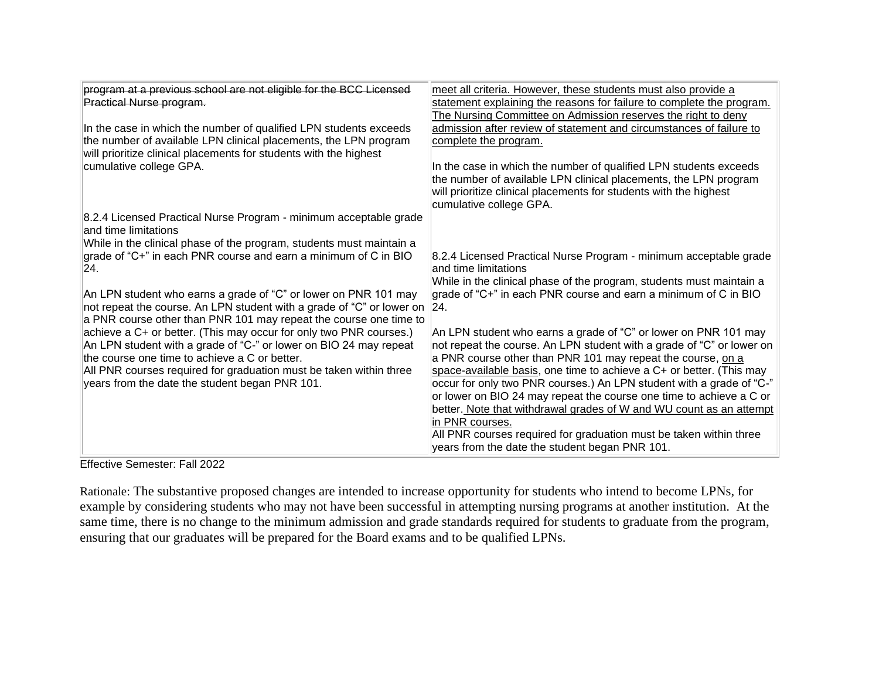| program at a previous school are not eligible for the BCC Licensed<br>Practical Nurse program.<br>In the case in which the number of qualified LPN students exceeds<br>the number of available LPN clinical placements, the LPN program<br>will prioritize clinical placements for students with the highest<br>cumulative college GPA.                                                                                                                                                                                                                                                                                                                                                                                                                                           | meet all criteria. However, these students must also provide a<br>statement explaining the reasons for failure to complete the program.<br>The Nursing Committee on Admission reserves the right to deny<br>admission after review of statement and circumstances of failure to<br>complete the program.<br>In the case in which the number of qualified LPN students exceeds<br>the number of available LPN clinical placements, the LPN program<br>will prioritize clinical placements for students with the highest<br>cumulative college GPA.                                                                                                                                                                                                                                                                                                                                                |
|-----------------------------------------------------------------------------------------------------------------------------------------------------------------------------------------------------------------------------------------------------------------------------------------------------------------------------------------------------------------------------------------------------------------------------------------------------------------------------------------------------------------------------------------------------------------------------------------------------------------------------------------------------------------------------------------------------------------------------------------------------------------------------------|--------------------------------------------------------------------------------------------------------------------------------------------------------------------------------------------------------------------------------------------------------------------------------------------------------------------------------------------------------------------------------------------------------------------------------------------------------------------------------------------------------------------------------------------------------------------------------------------------------------------------------------------------------------------------------------------------------------------------------------------------------------------------------------------------------------------------------------------------------------------------------------------------|
| 8.2.4 Licensed Practical Nurse Program - minimum acceptable grade<br>and time limitations<br>While in the clinical phase of the program, students must maintain a<br>grade of "C+" in each PNR course and earn a minimum of C in BIO<br> 24 <br>An LPN student who earns a grade of "C" or lower on PNR 101 may<br>not repeat the course. An LPN student with a grade of "C" or lower on<br>a PNR course other than PNR 101 may repeat the course one time to<br>achieve a C+ or better. (This may occur for only two PNR courses.)<br>An LPN student with a grade of "C-" or lower on BIO 24 may repeat<br>the course one time to achieve a C or better.<br>All PNR courses required for graduation must be taken within three<br>years from the date the student began PNR 101. | 8.2.4 Licensed Practical Nurse Program - minimum acceptable grade<br>and time limitations<br>While in the clinical phase of the program, students must maintain a<br>grade of "C+" in each PNR course and earn a minimum of C in BIO<br> 24 <br>An LPN student who earns a grade of "C" or lower on PNR 101 may<br>not repeat the course. An LPN student with a grade of "C" or lower on<br>a PNR course other than PNR 101 may repeat the course, on a<br>space-available basis, one time to achieve a C+ or better. (This may<br>occur for only two PNR courses.) An LPN student with a grade of "C-"<br>or lower on BIO 24 may repeat the course one time to achieve a C or<br>better. Note that withdrawal grades of W and WU count as an attempt<br>in PNR courses.<br>All PNR courses required for graduation must be taken within three<br>years from the date the student began PNR 101. |

Effective Semester: Fall 2022

Rationale: The substantive proposed changes are intended to increase opportunity for students who intend to become LPNs, for example by considering students who may not have been successful in attempting nursing programs at another institution. At the same time, there is no change to the minimum admission and grade standards required for students to graduate from the program, ensuring that our graduates will be prepared for the Board exams and to be qualified LPNs.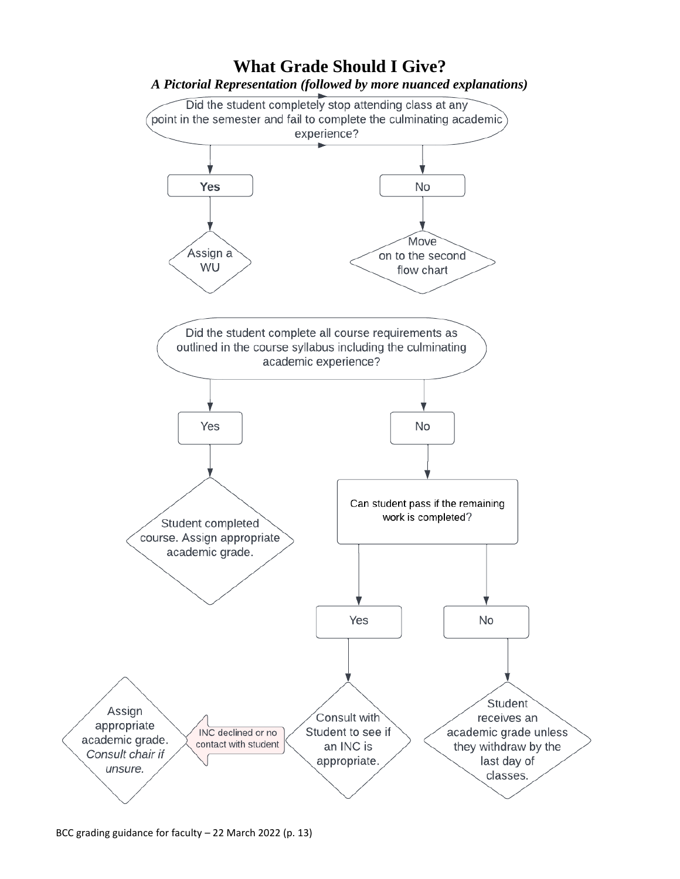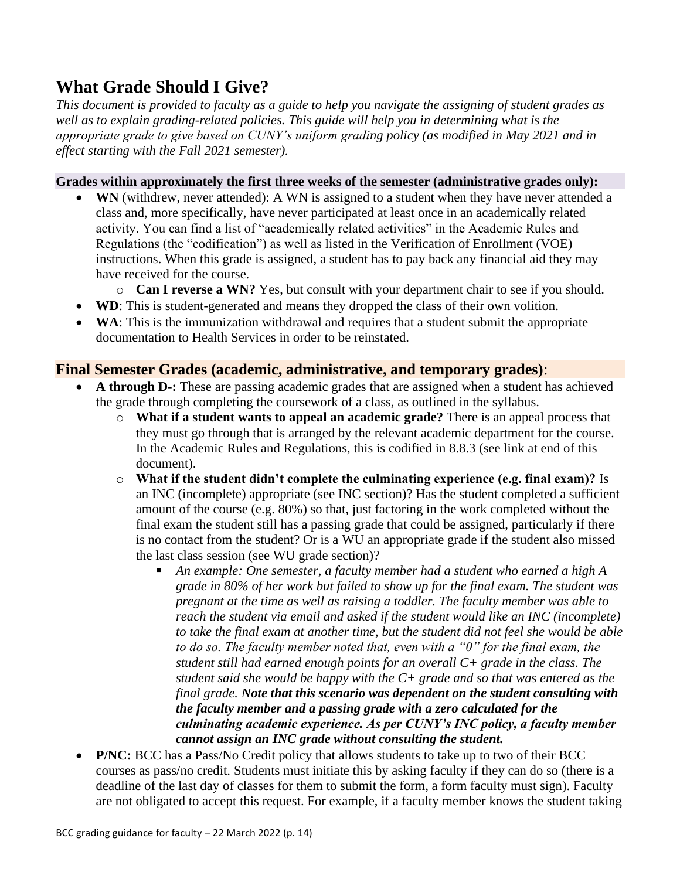# **What Grade Should I Give?**

*This document is provided to faculty as a guide to help you navigate the assigning of student grades as well as to explain grading-related policies. This guide will help you in determining what is the appropriate grade to give based on CUNY's uniform grading policy (as modified in May 2021 and in effect starting with the Fall 2021 semester).* 

### **Grades within approximately the first three weeks of the semester (administrative grades only):**

- **WN** (withdrew, never attended): A WN is assigned to a student when they have never attended a class and, more specifically, have never participated at least once in an academically related activity. You can find a list of "academically related activities" in the Academic Rules and Regulations (the "codification") as well as listed in the Verification of Enrollment (VOE) instructions. When this grade is assigned, a student has to pay back any financial aid they may have received for the course.
	- o **Can I reverse a WN?** Yes, but consult with your department chair to see if you should.
- **WD**: This is student-generated and means they dropped the class of their own volition.
- **WA**: This is the immunization withdrawal and requires that a student submit the appropriate documentation to Health Services in order to be reinstated.

# **Final Semester Grades (academic, administrative, and temporary grades)**:

- **A through D-:** These are passing academic grades that are assigned when a student has achieved the grade through completing the coursework of a class, as outlined in the syllabus.
	- o **What if a student wants to appeal an academic grade?** There is an appeal process that they must go through that is arranged by the relevant academic department for the course. In the Academic Rules and Regulations, this is codified in 8.8.3 (see link at end of this document).
	- o **What if the student didn't complete the culminating experience (e.g. final exam)?** Is an INC (incomplete) appropriate (see INC section)? Has the student completed a sufficient amount of the course (e.g. 80%) so that, just factoring in the work completed without the final exam the student still has a passing grade that could be assigned, particularly if there is no contact from the student? Or is a WU an appropriate grade if the student also missed the last class session (see WU grade section)?
		- An example: One semester, a faculty member had a student who earned a high A *grade in 80% of her work but failed to show up for the final exam. The student was pregnant at the time as well as raising a toddler. The faculty member was able to reach the student via email and asked if the student would like an INC (incomplete) to take the final exam at another time, but the student did not feel she would be able to do so. The faculty member noted that, even with a "0" for the final exam, the student still had earned enough points for an overall C+ grade in the class. The student said she would be happy with the C+ grade and so that was entered as the final grade. Note that this scenario was dependent on the student consulting with the faculty member and a passing grade with a zero calculated for the culminating academic experience. As per CUNY's INC policy, a faculty member cannot assign an INC grade without consulting the student.*
- **P/NC:** BCC has a Pass/No Credit policy that allows students to take up to two of their BCC courses as pass/no credit. Students must initiate this by asking faculty if they can do so (there is a deadline of the last day of classes for them to submit the form, a form faculty must sign). Faculty are not obligated to accept this request. For example, if a faculty member knows the student taking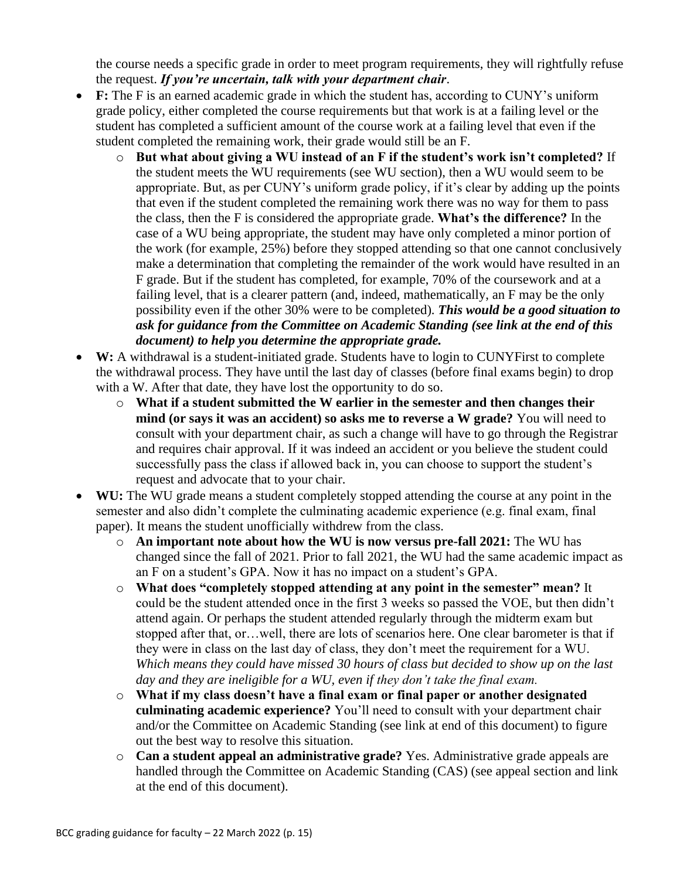the course needs a specific grade in order to meet program requirements, they will rightfully refuse the request. *If you're uncertain, talk with your department chair*.

- F: The F is an earned academic grade in which the student has, according to CUNY's uniform grade policy, either completed the course requirements but that work is at a failing level or the student has completed a sufficient amount of the course work at a failing level that even if the student completed the remaining work, their grade would still be an F.
	- o **But what about giving a WU instead of an F if the student's work isn't completed?** If the student meets the WU requirements (see WU section), then a WU would seem to be appropriate. But, as per CUNY's uniform grade policy, if it's clear by adding up the points that even if the student completed the remaining work there was no way for them to pass the class, then the F is considered the appropriate grade. **What's the difference?** In the case of a WU being appropriate, the student may have only completed a minor portion of the work (for example, 25%) before they stopped attending so that one cannot conclusively make a determination that completing the remainder of the work would have resulted in an F grade. But if the student has completed, for example, 70% of the coursework and at a failing level, that is a clearer pattern (and, indeed, mathematically, an F may be the only possibility even if the other 30% were to be completed). *This would be a good situation to ask for guidance from the Committee on Academic Standing (see link at the end of this document) to help you determine the appropriate grade.*
- W: A withdrawal is a student-initiated grade. Students have to login to CUNYFirst to complete the withdrawal process. They have until the last day of classes (before final exams begin) to drop with a W. After that date, they have lost the opportunity to do so.
	- o **What if a student submitted the W earlier in the semester and then changes their mind (or says it was an accident) so asks me to reverse a W grade?** You will need to consult with your department chair, as such a change will have to go through the Registrar and requires chair approval. If it was indeed an accident or you believe the student could successfully pass the class if allowed back in, you can choose to support the student's request and advocate that to your chair.
- **WU:** The WU grade means a student completely stopped attending the course at any point in the semester and also didn't complete the culminating academic experience (e.g. final exam, final paper). It means the student unofficially withdrew from the class.
	- o **An important note about how the WU is now versus pre-fall 2021:** The WU has changed since the fall of 2021. Prior to fall 2021, the WU had the same academic impact as an F on a student's GPA. Now it has no impact on a student's GPA.
	- o **What does "completely stopped attending at any point in the semester" mean?** It could be the student attended once in the first 3 weeks so passed the VOE, but then didn't attend again. Or perhaps the student attended regularly through the midterm exam but stopped after that, or…well, there are lots of scenarios here. One clear barometer is that if they were in class on the last day of class, they don't meet the requirement for a WU. *Which means they could have missed 30 hours of class but decided to show up on the last day and they are ineligible for a WU, even if they don't take the final exam.*
	- o **What if my class doesn't have a final exam or final paper or another designated culminating academic experience?** You'll need to consult with your department chair and/or the Committee on Academic Standing (see link at end of this document) to figure out the best way to resolve this situation.
	- o **Can a student appeal an administrative grade?** Yes. Administrative grade appeals are handled through the Committee on Academic Standing (CAS) (see appeal section and link at the end of this document).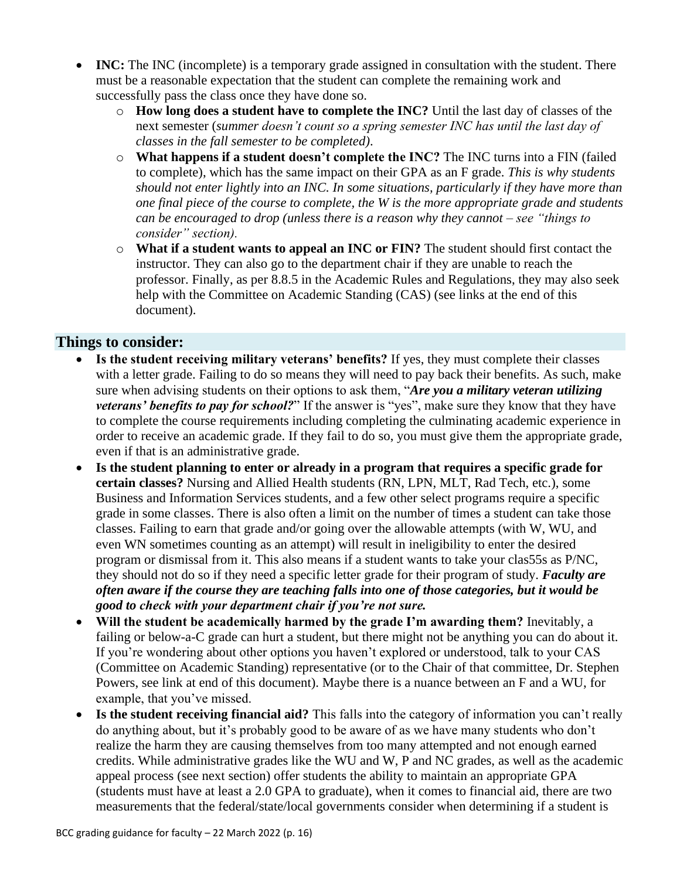- **INC:** The INC (incomplete) is a temporary grade assigned in consultation with the student. There must be a reasonable expectation that the student can complete the remaining work and successfully pass the class once they have done so.
	- o **How long does a student have to complete the INC?** Until the last day of classes of the next semester (*summer doesn't count so a spring semester INC has until the last day of classes in the fall semester to be completed)*.
	- o **What happens if a student doesn't complete the INC?** The INC turns into a FIN (failed to complete), which has the same impact on their GPA as an F grade. *This is why students should not enter lightly into an INC. In some situations, particularly if they have more than one final piece of the course to complete, the W is the more appropriate grade and students can be encouraged to drop (unless there is a reason why they cannot – see "things to consider" section).*
	- o **What if a student wants to appeal an INC or FIN?** The student should first contact the instructor. They can also go to the department chair if they are unable to reach the professor. Finally, as per 8.8.5 in the Academic Rules and Regulations, they may also seek help with the Committee on Academic Standing (CAS) (see links at the end of this document).

## **Things to consider:**

- **Is the student receiving military veterans' benefits?** If yes, they must complete their classes with a letter grade. Failing to do so means they will need to pay back their benefits. As such, make sure when advising students on their options to ask them, "*Are you a military veteran utilizing veterans' benefits to pay for school?*" If the answer is "yes", make sure they know that they have to complete the course requirements including completing the culminating academic experience in order to receive an academic grade. If they fail to do so, you must give them the appropriate grade, even if that is an administrative grade.
- **Is the student planning to enter or already in a program that requires a specific grade for certain classes?** Nursing and Allied Health students (RN, LPN, MLT, Rad Tech, etc.), some Business and Information Services students, and a few other select programs require a specific grade in some classes. There is also often a limit on the number of times a student can take those classes. Failing to earn that grade and/or going over the allowable attempts (with W, WU, and even WN sometimes counting as an attempt) will result in ineligibility to enter the desired program or dismissal from it. This also means if a student wants to take your clas55s as P/NC, they should not do so if they need a specific letter grade for their program of study. *Faculty are often aware if the course they are teaching falls into one of those categories, but it would be good to check with your department chair if you're not sure.*
- **Will the student be academically harmed by the grade I'm awarding them?** Inevitably, a failing or below-a-C grade can hurt a student, but there might not be anything you can do about it*.*  If you're wondering about other options you haven't explored or understood, talk to your CAS (Committee on Academic Standing) representative (or to the Chair of that committee, Dr. Stephen Powers, see link at end of this document). Maybe there is a nuance between an F and a WU, for example, that you've missed.
- **Is the student receiving financial aid?** This falls into the category of information you can't really do anything about, but it's probably good to be aware of as we have many students who don't realize the harm they are causing themselves from too many attempted and not enough earned credits. While administrative grades like the WU and W, P and NC grades, as well as the academic appeal process (see next section) offer students the ability to maintain an appropriate GPA (students must have at least a 2.0 GPA to graduate), when it comes to financial aid, there are two measurements that the federal/state/local governments consider when determining if a student is